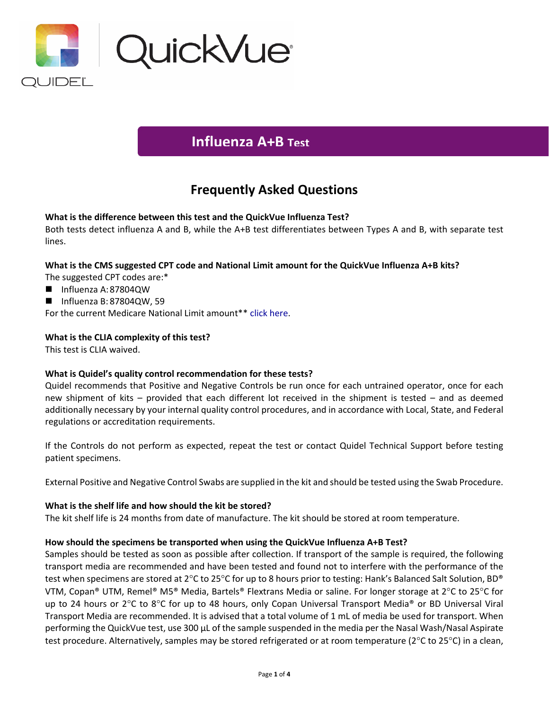

# **Influenza A+B Test**

## **Frequently Asked Questions**

## **What is the difference between this test and the QuickVue Influenza Test?**

Both tests detect influenza A and B, while the A+B test differentiates between Types A and B, with separate test lines.

#### **What is the CMS suggested CPT code and National Limit amount for the QuickVue Influenza A+B kits?**

- The suggested CPT codes are:\*
- Influenza A:87804QW
- $\blacksquare$  Influenza B: 87804QW, 59

For the current Medicare National Limit amount\*\* [click here.](https://www.codemap.com/quidel/index.cfm?page=rapid)

## **What is the CLIA complexity of this test?**

This test is CLIA waived.

#### **What is Quidel's quality control recommendation for these tests?**

Quidel recommends that Positive and Negative Controls be run once for each untrained operator, once for each new shipment of kits – provided that each different lot received in the shipment is tested – and as deemed additionally necessary by your internal quality control procedures, and in accordance with Local, State, and Federal regulations or accreditation requirements.

If the Controls do not perform as expected, repeat the test or contact Quidel Technical Support before testing patient specimens.

External Positive and Negative Control Swabs are supplied in the kit and should be tested using the Swab Procedure.

#### **What is the shelf life and how should the kit be stored?**

The kit shelf life is 24 months from date of manufacture. The kit should be stored at room temperature.

#### **How should the specimens be transported when using the QuickVue Influenza A+B Test?**

Samples should be tested as soon as possible after collection. If transport of the sample is required, the following transport media are recommended and have been tested and found not to interfere with the performance of the test when specimens are stored at 2°C to 25°C for up to 8 hours prior to testing: Hank's Balanced Salt Solution, BD® VTM, Copan® UTM, Remel® M5® Media, Bartels® Flextrans Media or saline. For longer storage at 2°C to 25°C for up to 24 hours or 2°C to 8°C for up to 48 hours, only Copan Universal Transport Media® or BD Universal Viral Transport Media are recommended. It is advised that a total volume of 1 mL of media be used for transport. When performing the QuickVue test, use 300 µL of the sample suspended in the media per the Nasal Wash/Nasal Aspirate test procedure. Alternatively, samples may be stored refrigerated or at room temperature (2°C to 25°C) in a clean,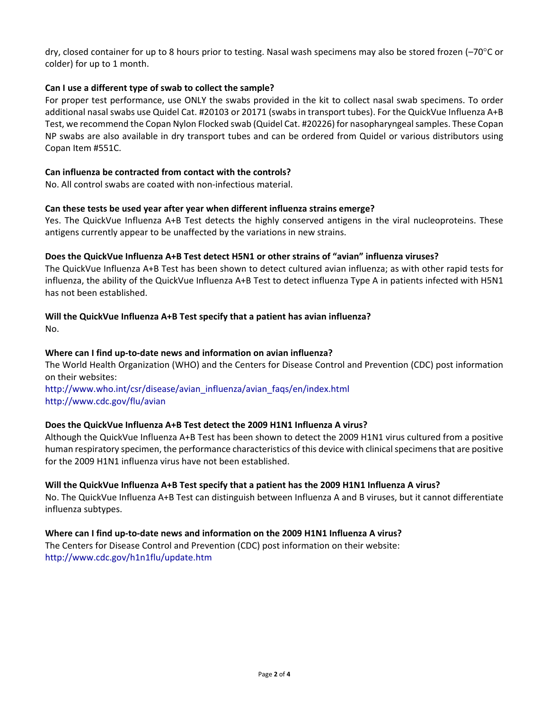dry, closed container for up to 8 hours prior to testing. Nasal wash specimens may also be stored frozen (–70°C or colder) for up to 1 month.

## **Can I use a different type of swab to collect the sample?**

For proper test performance, use ONLY the swabs provided in the kit to collect nasal swab specimens. To order additional nasal swabs use Quidel Cat. #20103 or 20171 (swabs in transport tubes). For the QuickVue Influenza A+B Test, we recommend the Copan Nylon Flocked swab (Quidel Cat. #20226) for nasopharyngeal samples. These Copan NP swabs are also available in dry transport tubes and can be ordered from Quidel or various distributors using Copan Item #551C.

#### **Can influenza be contracted from contact with the controls?**

No. All control swabs are coated with non-infectious material.

#### **Can these tests be used year after year when different influenza strains emerge?**

Yes. The QuickVue Influenza A+B Test detects the highly conserved antigens in the viral nucleoproteins. These antigens currently appear to be unaffected by the variations in new strains.

#### **Does the QuickVue Influenza A+B Test detect H5N1 or other strains of "avian" influenza viruses?**

The QuickVue Influenza A+B Test has been shown to detect cultured avian influenza; as with other rapid tests for influenza, the ability of the QuickVue Influenza A+B Test to detect influenza Type A in patients infected with H5N1 has not been established.

#### **Will the QuickVue Influenza A+B Test specify that a patient has avian influenza?**

No.

#### **Where can I find up-to-date news and information on avian influenza?**

The World Health Organization (WHO) and the Centers for Disease Control and Prevention (CDC) post information on their websites:

[http://www.who.int/csr/disease/avian\\_influenza/avian\\_faqs/en/index.html](http://www.who.int/csr/disease/avian.influenza/avian_faqs/en/index.html) <http://www.cdc.gov/flu/avian>

#### **Does the QuickVue Influenza A+B Test detect the 2009 H1N1 Influenza A virus?**

Although the QuickVue Influenza A+B Test has been shown to detect the 2009 H1N1 virus cultured from a positive human respiratory specimen, the performance characteristics of this device with clinical specimens that are positive for the 2009 H1N1 influenza virus have not been established.

#### **Will the QuickVue Influenza A+B Test specify that a patient has the 2009 H1N1 Influenza A virus?**

No. The QuickVue Influenza A+B Test can distinguish between Influenza A and B viruses, but it cannot differentiate influenza subtypes.

#### **Where can I find up-to-date news and information on the 2009 H1N1 Influenza A virus?**

The Centers for Disease Control and Prevention (CDC) post information on their website: <http://www.cdc.gov/h1n1flu/update.htm>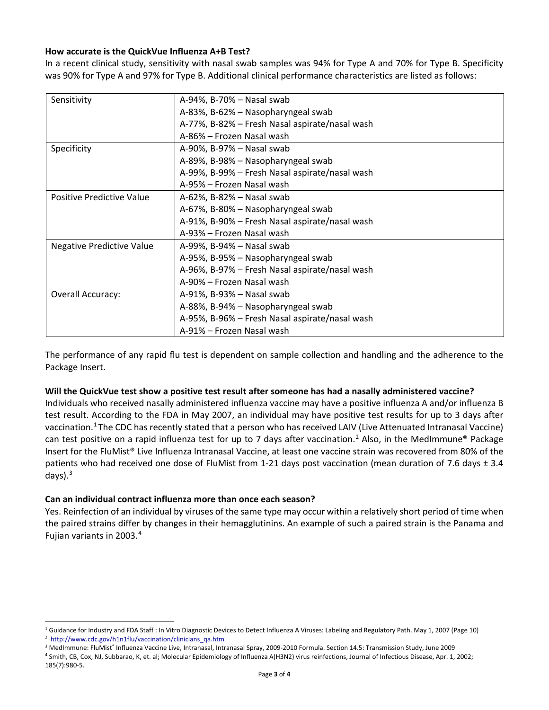## **How accurate is the QuickVue Influenza A+B Test?**

In a recent clinical study, sensitivity with nasal swab samples was 94% for Type A and 70% for Type B. Specificity was 90% for Type A and 97% for Type B. Additional clinical performance characteristics are listed as follows:

| Sensitivity                      | A-94%, B-70% - Nasal swab                      |
|----------------------------------|------------------------------------------------|
|                                  | A-83%, B-62% - Nasopharyngeal swab             |
|                                  | A-77%, B-82% - Fresh Nasal aspirate/nasal wash |
|                                  | A-86% - Frozen Nasal wash                      |
| Specificity                      | A-90%, B-97% – Nasal swab                      |
|                                  | A-89%, B-98% – Nasopharyngeal swab             |
|                                  | A-99%, B-99% - Fresh Nasal aspirate/nasal wash |
|                                  | A-95% – Frozen Nasal wash                      |
| <b>Positive Predictive Value</b> | A-62%, B-82% – Nasal swab                      |
|                                  | A-67%, B-80% - Nasopharyngeal swab             |
|                                  | A-91%, B-90% - Fresh Nasal aspirate/nasal wash |
|                                  | A-93% – Frozen Nasal wash                      |
| <b>Negative Predictive Value</b> | A-99%, B-94% - Nasal swab                      |
|                                  | A-95%, B-95% – Nasopharyngeal swab             |
|                                  | A-96%, B-97% – Fresh Nasal aspirate/nasal wash |
|                                  | A-90% - Frozen Nasal wash                      |
| Overall Accuracy:                | A-91%, B-93% - Nasal swab                      |
|                                  | A-88%, B-94% - Nasopharyngeal swab             |
|                                  | A-95%, B-96% - Fresh Nasal aspirate/nasal wash |
|                                  | A-91% – Frozen Nasal wash                      |

The performance of any rapid flu test is dependent on sample collection and handling and the adherence to the Package Insert.

#### **Will the QuickVue test show a positive test result after someone has had a nasally administered vaccine?**

Individuals who received nasally administered influenza vaccine may have a positive influenza A and/or influenza B test result. According to the FDA in May 2007, an individual may have positive test results for up to 3 days after vaccination.<sup>[1](#page-2-0)</sup> The CDC has recently stated that a person who has received LAIV (Live Attenuated Intranasal Vaccine) can test positive on a rapid influenza test for up to 7 days after vaccination.<sup>[2](#page-2-1)</sup> Also, in the MedImmune® Package Insert for the FluMist® Live Influenza Intranasal Vaccine, at least one vaccine strain was recovered from 80% of the patients who had received one dose of FluMist from 1-21 days post vaccination (mean duration of 7.6 days ± 3.4 days) $^3$  $^3$ 

#### **Can an individual contract influenza more than once each season?**

Yes. Reinfection of an individual by viruses of the same type may occur within a relatively short period of time when the paired strains differ by changes in their hemagglutinins. An example of such a paired strain is the Panama and Fujian variants in 2003.[4](#page-2-3)

<span id="page-2-0"></span><sup>&</sup>lt;sup>1</sup> Guidance for Industry and FDA Staff : In Vitro Diagnostic Devices to Detect Influenza A Viruses: Labeling and Regulatory Path. May 1, 2007 (Page 10) 2  [http://www.cdc.gov/h1n1flu/vaccination/clinicians\\_qa.htm](http://www.cdc.gov/h1n1flu/vaccination/clinicians_qa.htm)

<span id="page-2-3"></span><span id="page-2-2"></span><span id="page-2-1"></span><sup>&</sup>lt;sup>3</sup> MedImmune: FluMist<sup>®</sup> Influenza Vaccine Live, Intranasal, Intranasal Spray, 2009-2010 Formula. Section 14.5: Transmission Study, June 2009

<sup>4</sup> Smith, CB, Cox, NJ, Subbarao, K, et. al; Molecular Epidemiology of Influenza A(H3N2) virus reinfections, Journal of Infectious Disease, Apr. 1, 2002; 185(7):980-5.